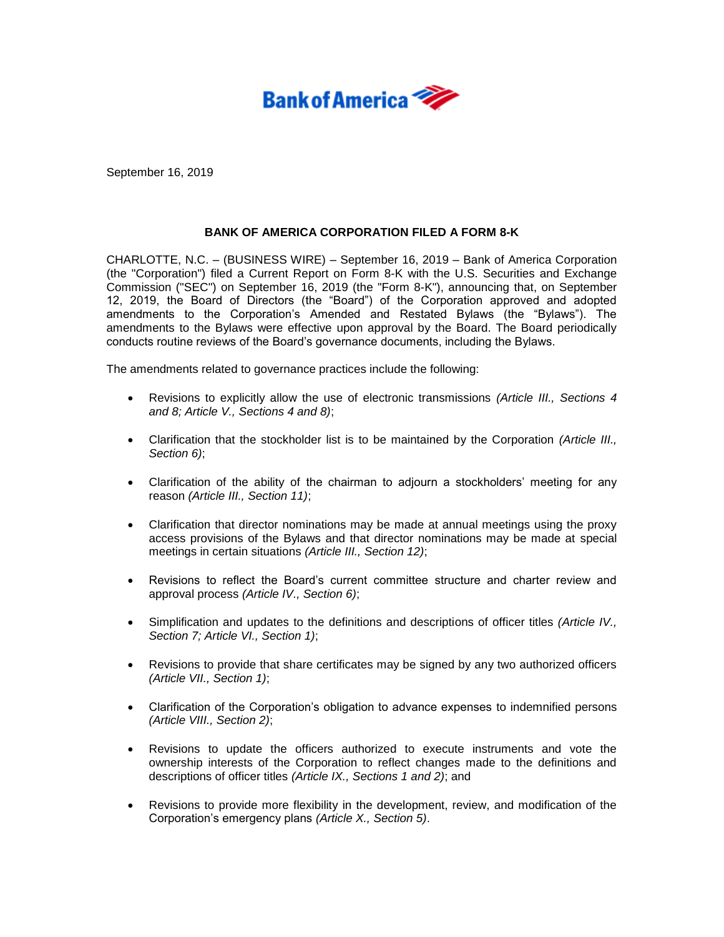

September 16, 2019

## **BANK OF AMERICA CORPORATION FILED A FORM 8-K**

CHARLOTTE, N.C. – (BUSINESS WIRE) – September 16, 2019 – Bank of America Corporation (the "Corporation") filed a Current Report on Form 8-K with the U.S. Securities and Exchange Commission ("SEC") on September 16, 2019 (the "Form 8-K"), announcing that, on September 12, 2019, the Board of Directors (the "Board") of the Corporation approved and adopted amendments to the Corporation's Amended and Restated Bylaws (the "Bylaws"). The amendments to the Bylaws were effective upon approval by the Board. The Board periodically conducts routine reviews of the Board's governance documents, including the Bylaws.

The amendments related to governance practices include the following:

- Revisions to explicitly allow the use of electronic transmissions *(Article III., Sections 4 and 8; Article V., Sections 4 and 8)*;
- Clarification that the stockholder list is to be maintained by the Corporation *(Article III., Section 6)*;
- Clarification of the ability of the chairman to adjourn a stockholders' meeting for any reason *(Article III., Section 11)*;
- Clarification that director nominations may be made at annual meetings using the proxy access provisions of the Bylaws and that director nominations may be made at special meetings in certain situations *(Article III., Section 12)*;
- Revisions to reflect the Board's current committee structure and charter review and approval process *(Article IV., Section 6)*;
- Simplification and updates to the definitions and descriptions of officer titles *(Article IV., Section 7; Article VI., Section 1)*;
- Revisions to provide that share certificates may be signed by any two authorized officers *(Article VII., Section 1)*;
- Clarification of the Corporation's obligation to advance expenses to indemnified persons *(Article VIII., Section 2)*;
- Revisions to update the officers authorized to execute instruments and vote the ownership interests of the Corporation to reflect changes made to the definitions and descriptions of officer titles *(Article IX., Sections 1 and 2)*; and
- Revisions to provide more flexibility in the development, review, and modification of the Corporation's emergency plans *(Article X., Section 5)*.